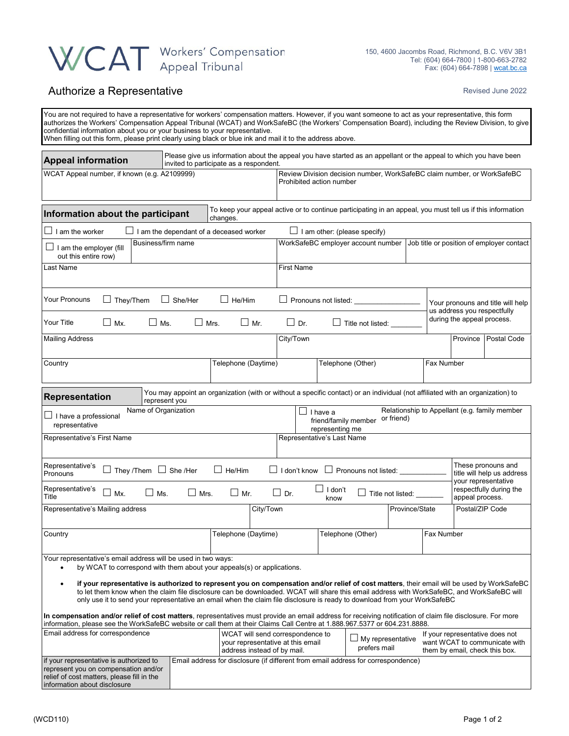# WCAT Workers' Compensation

### Authorize a Representative **Authorize** a Representative **Revised June 2022**

| You are not required to have a representative for workers' compensation matters. However, if you want someone to act as your representative, this form<br>authorizes the Workers' Compensation Appeal Tribunal (WCAT) and WorkSafeBC (the Workers' Compensation Board), including the Review Division, to give<br>confidential information about you or your business to your representative.<br>When filling out this form, please print clearly using black or blue ink and mail it to the address above.                                                                                                                                                                                                                                                                                                                                                                             |                                                                                                                                           |                     |                                                                                                     |                                                                    |                                                                                                            |                                                                                   |                                                                                                    |                         |                            |             |  |  |
|-----------------------------------------------------------------------------------------------------------------------------------------------------------------------------------------------------------------------------------------------------------------------------------------------------------------------------------------------------------------------------------------------------------------------------------------------------------------------------------------------------------------------------------------------------------------------------------------------------------------------------------------------------------------------------------------------------------------------------------------------------------------------------------------------------------------------------------------------------------------------------------------|-------------------------------------------------------------------------------------------------------------------------------------------|---------------------|-----------------------------------------------------------------------------------------------------|--------------------------------------------------------------------|------------------------------------------------------------------------------------------------------------|-----------------------------------------------------------------------------------|----------------------------------------------------------------------------------------------------|-------------------------|----------------------------|-------------|--|--|
| Please give us information about the appeal you have started as an appellant or the appeal to which you have been<br><b>Appeal information</b><br>invited to participate as a respondent.                                                                                                                                                                                                                                                                                                                                                                                                                                                                                                                                                                                                                                                                                               |                                                                                                                                           |                     |                                                                                                     |                                                                    |                                                                                                            |                                                                                   |                                                                                                    |                         |                            |             |  |  |
| WCAT Appeal number, if known (e.g. A2109999)                                                                                                                                                                                                                                                                                                                                                                                                                                                                                                                                                                                                                                                                                                                                                                                                                                            |                                                                                                                                           |                     | Review Division decision number, WorkSafeBC claim number, or WorkSafeBC<br>Prohibited action number |                                                                    |                                                                                                            |                                                                                   |                                                                                                    |                         |                            |             |  |  |
| Information about the participant<br>changes.                                                                                                                                                                                                                                                                                                                                                                                                                                                                                                                                                                                                                                                                                                                                                                                                                                           |                                                                                                                                           |                     |                                                                                                     |                                                                    | To keep your appeal active or to continue participating in an appeal, you must tell us if this information |                                                                                   |                                                                                                    |                         |                            |             |  |  |
| $\Box$<br>I am the worker<br>I am the dependant of a deceased worker                                                                                                                                                                                                                                                                                                                                                                                                                                                                                                                                                                                                                                                                                                                                                                                                                    |                                                                                                                                           |                     |                                                                                                     |                                                                    | $\Box$ I am other: (please specify)                                                                        |                                                                                   |                                                                                                    |                         |                            |             |  |  |
| Business/firm name<br>$\Box$ I am the employer (fill<br>out this entire row)                                                                                                                                                                                                                                                                                                                                                                                                                                                                                                                                                                                                                                                                                                                                                                                                            |                                                                                                                                           |                     | WorkSafeBC employer account number<br>Job title or position of employer contact                     |                                                                    |                                                                                                            |                                                                                   |                                                                                                    |                         |                            |             |  |  |
| Last Name                                                                                                                                                                                                                                                                                                                                                                                                                                                                                                                                                                                                                                                                                                                                                                                                                                                                               |                                                                                                                                           |                     |                                                                                                     | <b>First Name</b>                                                  |                                                                                                            |                                                                                   |                                                                                                    |                         |                            |             |  |  |
| Your Pronouns<br>They/Them                                                                                                                                                                                                                                                                                                                                                                                                                                                                                                                                                                                                                                                                                                                                                                                                                                                              | $\Box$ She/Her<br>$\Box$ He/Him<br>$\Box$ Pronouns not listed: $\Box$<br>Your pronouns and title will help<br>us address you respectfully |                     |                                                                                                     |                                                                    |                                                                                                            |                                                                                   |                                                                                                    |                         |                            |             |  |  |
| Your Title<br>$\Box$ Mx.<br>$\Box$ Ms.                                                                                                                                                                                                                                                                                                                                                                                                                                                                                                                                                                                                                                                                                                                                                                                                                                                  | $\Box$ Mrs.                                                                                                                               |                     | $\Box$ Mr.                                                                                          | $\Box$ Dr.                                                         |                                                                                                            | $\Box$ Title not listed:                                                          | during the appeal process.                                                                         |                         |                            |             |  |  |
| <b>Mailing Address</b>                                                                                                                                                                                                                                                                                                                                                                                                                                                                                                                                                                                                                                                                                                                                                                                                                                                                  |                                                                                                                                           |                     |                                                                                                     | City/Town                                                          |                                                                                                            |                                                                                   |                                                                                                    |                         | Province                   | Postal Code |  |  |
| Country                                                                                                                                                                                                                                                                                                                                                                                                                                                                                                                                                                                                                                                                                                                                                                                                                                                                                 |                                                                                                                                           | Telephone (Daytime) |                                                                                                     |                                                                    |                                                                                                            | Telephone (Other)                                                                 |                                                                                                    | Fax Number              |                            |             |  |  |
| You may appoint an organization (with or without a specific contact) or an individual (not affiliated with an organization) to<br>Representation<br>represent you                                                                                                                                                                                                                                                                                                                                                                                                                                                                                                                                                                                                                                                                                                                       |                                                                                                                                           |                     |                                                                                                     |                                                                    |                                                                                                            |                                                                                   |                                                                                                    |                         |                            |             |  |  |
| Name of Organization<br>Relationship to Appellant (e.g. family member<br>$\Box$ I have a<br>$\Box$ I have a professional<br>or friend)<br>friend/family member<br>representative                                                                                                                                                                                                                                                                                                                                                                                                                                                                                                                                                                                                                                                                                                        |                                                                                                                                           |                     |                                                                                                     |                                                                    |                                                                                                            |                                                                                   |                                                                                                    |                         |                            |             |  |  |
| Representative's First Name                                                                                                                                                                                                                                                                                                                                                                                                                                                                                                                                                                                                                                                                                                                                                                                                                                                             |                                                                                                                                           |                     |                                                                                                     |                                                                    | representing me<br>Representative's Last Name                                                              |                                                                                   |                                                                                                    |                         |                            |             |  |  |
| Representative's<br>$\Box$ They /Them $\Box$ She /Her<br>$\Box$ He/Him<br>Pronouns                                                                                                                                                                                                                                                                                                                                                                                                                                                                                                                                                                                                                                                                                                                                                                                                      |                                                                                                                                           |                     |                                                                                                     | These pronouns and<br>□ I don't know □ Pronouns not listed: ______ |                                                                                                            |                                                                                   |                                                                                                    |                         | title will help us address |             |  |  |
| Representative's<br>$\Box$ Ms.<br>$\Box$ Mx.<br>Title                                                                                                                                                                                                                                                                                                                                                                                                                                                                                                                                                                                                                                                                                                                                                                                                                                   | $\Box$ Mrs.                                                                                                                               | $\Box$ Mr.          |                                                                                                     | $\Box$ Dr.                                                         | vour representative<br>$\Box$ I don't<br>$\Box$ Title not listed: $\Box$<br>appeal process.<br>know        |                                                                                   |                                                                                                    | respectfully during the |                            |             |  |  |
| Representative's Mailing address                                                                                                                                                                                                                                                                                                                                                                                                                                                                                                                                                                                                                                                                                                                                                                                                                                                        |                                                                                                                                           |                     | City/Town                                                                                           |                                                                    |                                                                                                            |                                                                                   | Province/State                                                                                     |                         | Postal/ZIP Code            |             |  |  |
| Country                                                                                                                                                                                                                                                                                                                                                                                                                                                                                                                                                                                                                                                                                                                                                                                                                                                                                 |                                                                                                                                           | Telephone (Daytime) |                                                                                                     |                                                                    | Telephone (Other)                                                                                          |                                                                                   |                                                                                                    | Fax Number              |                            |             |  |  |
| Your representative's email address will be used in two ways:<br>by WCAT to correspond with them about your appeals(s) or applications.<br>$\bullet$<br>if your representative is authorized to represent you on compensation and/or relief of cost matters, their email will be used by WorkSafeBC<br>$\bullet$<br>to let them know when the claim file disclosure can be downloaded. WCAT will share this email address with WorkSafeBC, and WorkSafeBC will<br>only use it to send your representative an email when the claim file disclosure is ready to download from your WorkSafeBC<br>In compensation and/or relief of cost matters, representatives must provide an email address for receiving notification of claim file disclosure. For more<br>information, please see the WorkSafeBC website or call them at their Claims Call Centre at 1.888.967.5377 or 604.231.8888. |                                                                                                                                           |                     |                                                                                                     |                                                                    |                                                                                                            |                                                                                   |                                                                                                    |                         |                            |             |  |  |
| Email address for correspondence<br>WCAT will send correspondence to<br>your representative at this email<br>address instead of by mail.                                                                                                                                                                                                                                                                                                                                                                                                                                                                                                                                                                                                                                                                                                                                                |                                                                                                                                           |                     |                                                                                                     | My representative<br>prefers mail                                  |                                                                                                            |                                                                                   | If your representative does not<br>want WCAT to communicate with<br>them by email, check this box. |                         |                            |             |  |  |
| if your representative is authorized to<br>represent you on compensation and/or<br>relief of cost matters, please fill in the<br>information about disclosure                                                                                                                                                                                                                                                                                                                                                                                                                                                                                                                                                                                                                                                                                                                           |                                                                                                                                           |                     |                                                                                                     |                                                                    |                                                                                                            | Email address for disclosure (if different from email address for correspondence) |                                                                                                    |                         |                            |             |  |  |